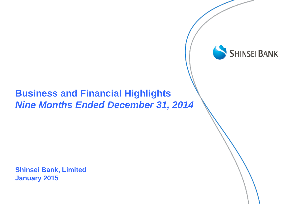# **Business and Financial Highlights**  *Nine Months Ended December 31, 2014*

**SHINSEI BANK** 

**Shinsei Bank, Limited January 2015**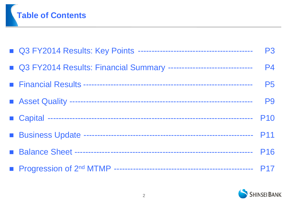

|                                                                       | <b>P3</b>      |
|-----------------------------------------------------------------------|----------------|
| ■ Q3 FY2014 Results: Financial Summary ------------------------------ | <b>P4</b>      |
|                                                                       | <b>P5</b>      |
|                                                                       | P <sub>9</sub> |
|                                                                       | <b>P10</b>     |
|                                                                       |                |
|                                                                       |                |
|                                                                       |                |

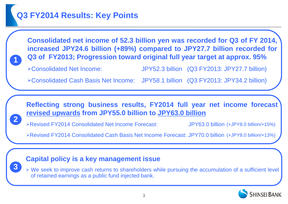# **Q3 FY2014 Results: Key Points**

**Consolidated net income of 52.3 billion yen was recorded for Q3 of FY 2014, increased JPY24.6 billion (+89%) compared to JPY27.7 billion recorded for Q3 of FY2013; Progression toward original full year target at approx. 95%**

**3**

**2**

**1**

Consolidated Net Income: JPY52.3 billion (Q3 FY2013: JPY27.7 billion)

Consolidated Cash Basis Net Income: JPY58.1 billion (Q3 FY2013: JPY34.2 billion)

**Reflecting strong business results, FY2014 full year net income forecast revised upwards from JPY55.0 billion to JPY63.0 billion**

Revised FY2014 Consolidated Net Income Forecast: JPY63.0 billion (+JPY8.0 billion/+15%)

Revised FY2014 Consolidated Cash Basis Net Income Forecast: JPY70.0 billion (+JPY8.0 billion/+13%)

### **Capital policy is a key management issue**

 We seek to improve cash returns to shareholders while pursuing the accumulation of a sufficient level of retained earnings as a public fund injected bank.

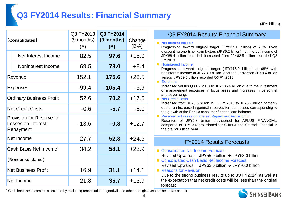# **Q3 FY2014 Results: Financial Summary**

(JPY billion)

| <b>[Consolidated]</b>                                               |                     | Q3 FY2013<br>(9 months)<br>(A) | <b>Q3 FY2014</b><br>(9 months)<br>(B) | Change<br>$(B-A)$ |
|---------------------------------------------------------------------|---------------------|--------------------------------|---------------------------------------|-------------------|
|                                                                     | Net Interest Income | 82.5                           | 97.6                                  | $+15.0$           |
|                                                                     | Noninterest Income  | 69.5                           | 78.0                                  | $+8.4$            |
|                                                                     | Revenue             | 152.1                          | 175.6                                 | $+23.5$           |
| <b>Expenses</b>                                                     |                     | $-99.4$                        | $-105.4$                              | $-5.9$            |
| <b>Ordinary Business Profit</b>                                     |                     | 52.6                           | 70.2                                  | $+17.5$           |
| <b>Net Credit Costs</b>                                             |                     | $-0.6$                         | $-5.7$                                | $-5.0$            |
| Provision for Reserve for<br><b>Losses on Interest</b><br>Repayment |                     | $-13.6$                        | $-0.8$                                | $+12.7$           |
| Net Income                                                          |                     | 27.7                           | 52.3                                  | $+24.6$           |
| Cash Basis Net Income <sup>1</sup>                                  |                     | 34.2                           | 58.1                                  | $+23.9$           |
| [Nonconsolidated]                                                   |                     |                                |                                       |                   |
| <b>Net Business Profit</b>                                          |                     | 16.9                           | 31.1                                  | $+14.1$           |
| Net Income                                                          |                     | 21.8                           | 35.7                                  | $+13.9$           |

#### Q3 FY2014 Results: Financial Summary

#### ■ Net Interest Income

Progression toward original target (JPY125.0 billion) at 78%. Even discounting one-time gain factors (JPY9.2 billion) net interest income of JPY88.4 billion recorded, increased from JPY82.5 billion recorded Q3 FY 2013.

#### Noninterest Income

Progression toward original target (JPY115.0 billion) at 68% with noninterest income of JPY78.0 billion recorded, increased JPY8.4 billion versus JPY69.5 billion recorded Q3 FY 2013.

#### **Expenses**

Increased versus Q3 FY 2013 to JPY105.4 billion due to the investment of management resources in focus areas and increases in personnel and advertising.

**Net Credit Costs** 

Increased from JPY0.6 billion in Q3 FY 2013 to JPY5.7 billion primarily due to an increase in general reserves for loan losses corresponding to the growth of the Bank's consumer finance loan balance.

Reserve for Losses on Interest Repayment Provisioning

Reserves of JPY0.8 billion provisioned for APLUS FINANCIAL, compared to JPY13.6 provisioned for SHINKI and Shinsei Financial in the previous fiscal year.

#### FY2014 Results Forecasts

- Consolidated Net Income Forecast Revised Upwards: JPY55.0 billion  $\rightarrow$  JPY63.0 billion
- Consolidated Cash Basis Net Income Forecast Revised Upwards: JPY62.0 billion  $\rightarrow$  JPY70.0 billion

#### **Reasons for Revision**

Due to the strong business results up to 3Q FY2014, as well as the expectation that net credit costs will be less than the original forecast

<sup>1</sup> Cash basis net income is calculated by excluding amortization of goodwill and other intangible assets, net of tax benefit

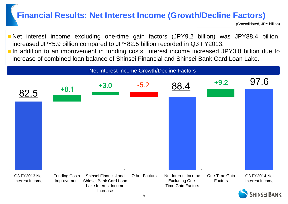### **Financial Results: Net Interest Income (Growth/Decline Factors)**

(Consolidated, JPY billion)

Net interest income excluding one-time gain factors (JPY9.2 billion) was JPY88.4 billion, increased JPY5.9 billion compared to JPY82.5 billion recorded in Q3 FY2013. ■ In addition to an improvement in funding costs, interest income increased JPY3.0 billion due to increase of combined loan balance of Shinsei Financial and Shinsei Bank Card Loan Lake.

#### Net Interest Income Growth/Decline Factors

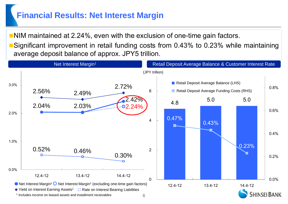# **Financial Results: Net Interest Margin**

**NIM** maintained at 2.24%, even with the exclusion of one-time gain factors.

Significant improvement in retail funding costs from 0.43% to 0.23% while maintaining average deposit balance of approx. JPY5 trillion.

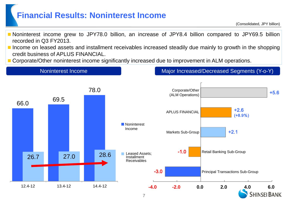### **Financial Results: Noninterest Income**

(Consolidated, JPY billion)

- Noninterest income grew to JPY78.0 billion, an increase of JPY8.4 billion compared to JPY69.5 billion recorded in Q3 FY2013.
- Income on leased assets and installment receivables increased steadily due mainly to growth in the shopping credit business of APLUS FINANCIAL.
- Corporate/Other noninterest income significantly increased due to improvement in ALM operations.

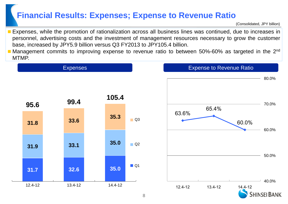### **Financial Results: Expenses; Expense to Revenue Ratio**

(Consolidated, JPY billion)

- Expenses, while the promotion of rationalization across all business lines was continued, due to increases in personnel, advertising costs and the investment of management resources necessary to grow the customer base, increased by JPY5.9 billion versus Q3 FY2013 to JPY105.4 billion.
- **Nanagement commits to improving expense to revenue ratio to between 50%-60% as targeted in the 2<sup>nd</sup>** MTMP.



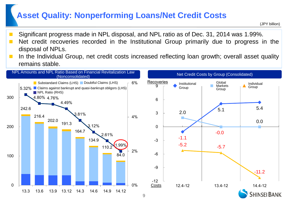### **Asset Quality: Nonperforming Loans/Net Credit Costs**

- Significant progress made in NPL disposal, and NPL ratio as of Dec. 31, 2014 was 1.99%.
- Net credit recoveries recorded in the Institutional Group primarily due to progress in the disposal of NPLs.
- In the Individual Group, net credit costs increased reflecting loan growth; overall asset quality remains stable.

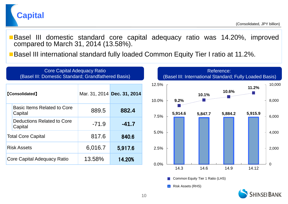

Basel III domestic standard core capital adequacy ratio was 14.20%, improved compared to March 31, 2014 (13.58%).

■Basel III international standard fully loaded Common Equity Tier I ratio at 11.2%.

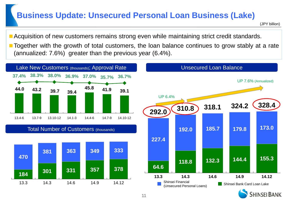### **Business Update: Unsecured Personal Loan Business (Lake)**

(JPY billion)

- **Acquisition of new customers remains strong even while maintaining strict credit standards.**
- Together with the growth of total customers, the loan balance continues to grow stably at a rate (annualized: 7.6%) greater than the previous year (6.4%).



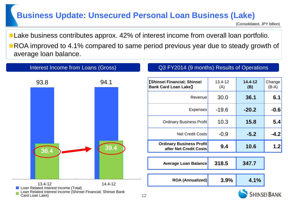# **Business Update: Unsecured Personal Loan Business (Lake)**

(Consolidated, JPY billion)

**Lake business contributes approx. 42% of interest income from overall loan portfolio. ROA** improved to 4.1% compared to same period previous year due to steady growth of average loan balance.

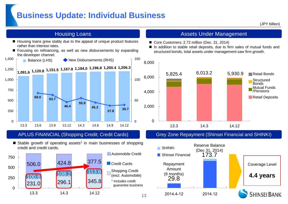### **Business Update: Individual Business**

(JPY billion)

- Housing loans grew stably due to the appeal of unique product features rather than interest rates.
- Focusing on refinancing, as well as new disbursements by expanding the developer channel.



#### APLUS FINANCIAL (Shopping Credit; Credit Cards)

 $\blacksquare$  Stable growth of operating assets<sup>1</sup> in main businesses of shopping credit and credit cards.



#### Housing Loans **Assets Under Management Assets Under Management**

- Core Customers: 2.72 million (Dec. 31, 2014)
- In addition to stable retail deposits, due to firm sales of mutual funds and structured bonds, total assets under management saw firm growth.



#### Grey Zone Repayment (Shinsei Financial and SHINKI)

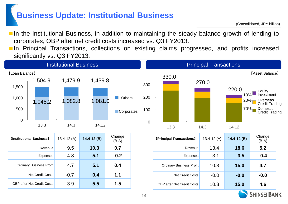### **Business Update: Institutional Business**

**In the Institutional Business, in addition to maintaining the steady balance growth of lending to** corporates, OBP after net credit costs increased vs. Q3 FY2013.

**In Principal Transactions, collections on existing claims progressed, and profits increased** significantly vs. Q3 FY2013.



| <b>[Institutional Business]</b>   | $13.4 - 12(A)$ | $14.4 - 12(B)$ | Change<br>$(B-A)$ |
|-----------------------------------|----------------|----------------|-------------------|
| Revenue                           | 9.5            | 10.3           | 0.7               |
| <b>Expenses</b>                   | $-4.8$         | $-5.1$         | $-0.2$            |
| <b>Ordinary Business Profit</b>   | 4.7            | 5.1            | 0.4               |
| <b>Net Credit Costs</b>           | $-0.7$         | 0.4            | 1.1               |
| <b>OBP after Net Credit Costs</b> | 3.9            | 5.5            | 1.5               |

| <b>[Principal Transactions]</b>   | 13.4-12 $(A)$ | $14.4 - 12(B)$ | Change<br>$(B-A)$ |
|-----------------------------------|---------------|----------------|-------------------|
| Revenue                           | 13.4          | 18.6           | 5.2               |
| Expenses                          | $-3.1$        | $-3.5$         | $-0.4$            |
| <b>Ordinary Business Profit</b>   | 10.3          | 15.0           | 4.7               |
| <b>Net Credit Costs</b>           | $-0.0$        | $-0.0$         | $-0.0$            |
| <b>OBP after Net Credit Costs</b> | 10.3          | 15.0           | 4.6               |

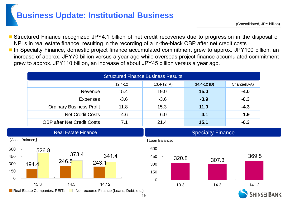### **Business Update: Institutional Business**

 Structured Finance recognized JPY4.1 billion of net credit recoveries due to progression in the disposal of NPLs in real estate finance, resulting in the recording of a in-the-black OBP after net credit costs.

■ In Specialty Finance, domestic project finance accumulated commitment grew to approx. JPY100 billion, an increase of approx. JPY70 billion versus a year ago while overseas project finance accumulated commitment grew to approx. JPY110 billion, an increase of about JPY45 billion versus a year ago.

| <b>Structured Finance Business Results</b> |             |                |                |             |
|--------------------------------------------|-------------|----------------|----------------|-------------|
|                                            | $12.4 - 12$ | $13.4 - 12(A)$ | $14.4 - 12(B)$ | Change(B-A) |
| Revenue                                    | 15.4        | 19.0           | 15.0           | $-4.0$      |
| <b>Expenses</b>                            | $-3.6$      | $-3.6$         | $-3.9$         | $-0.3$      |
| <b>Ordinary Business Profit</b>            | 11.8        | 15.3           | 11.0           | $-4.3$      |
| <b>Net Credit Costs</b>                    | $-4.6$      | 6.0            | 4.1            | $-1.9$      |
| <b>OBP after Net Credit Costs</b>          | 7.1         | 21.4           | 15.1           | $-6.3$      |



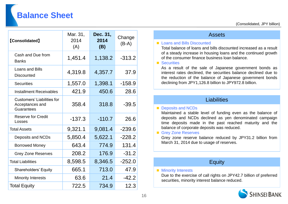# **Balance Sheet**

(Consolidated, JPY billion)

| <b>[Consolidated]</b>                                              | Mar. 31,<br>2014<br>(A) | Dec. 31,<br>2014<br>(B) | Change<br>$(B-A)$ |
|--------------------------------------------------------------------|-------------------------|-------------------------|-------------------|
| Cash and Due from<br><b>Banks</b>                                  | 1,451.4                 | 1,138.2                 | $-313.2$          |
| Loans and Bills<br><b>Discounted</b>                               | 4,319.8                 | 4,357.7                 | 37.9              |
| <b>Securities</b>                                                  | 1,557.0                 | 1,398.1                 | $-158.9$          |
| <b>Installment Receivables</b>                                     | 421.9                   | 450.6                   | 28.6              |
| <b>Customers' Liabilities for</b><br>Acceptances and<br>Guarantees | 358.4                   | 318.8                   | $-39.5$           |
| <b>Reserve for Credit</b><br>Losses                                | $-137.3$                | $-110.7$                | 26.6              |
| <b>Total Assets</b>                                                | 9,321.1                 | 9,081.4                 | $-239.6$          |
| Deposits and NCDs                                                  | 5,850.4                 | 5,622.1                 | $-228.2$          |
| <b>Borrowed Money</b>                                              | 643.4                   | 774.9                   | 131.4             |
| <b>Grey Zone Reserves</b>                                          | 208.2                   | 176.9                   | $-31.2$           |
| <b>Total Liabilities</b>                                           | 8,598.5                 | 8,346.5                 | $-252.0$          |
| <b>Shareholders' Equity</b>                                        | 665.1                   | 713.0                   | 47.9              |
| <b>Minority Interests</b>                                          | 63.6                    | 21.4                    | $-42.2$           |
| <b>Total Equity</b>                                                | 722.5                   | 734.9                   | 12.3              |

| <b>Assets</b>                                                                                                                                                                                                                         |
|---------------------------------------------------------------------------------------------------------------------------------------------------------------------------------------------------------------------------------------|
| ■ Loans and Bills Discounted<br>Total balance of loans and bills discounted increased as a result<br>of a steady increase in housing loans and the continued growth<br>of the consumer finance business loan balance.<br>■ Securities |
| As a result of the sale of Japanese government bonds as<br>atarant retas declined the coordinal polones declined due to                                                                                                               |

interest rates declined, the securities balance declined due to the reduction of the balance of Japanese government bonds declining from JPY1,126.8 billion to JPY972.8 billion.

#### **Liabilities**

#### Deposits and NCDs

 $\mathbb{R}^n$ 

Maintained a stable level of funding even as the balance of deposits and NCDs declined as yen denominated campaign time deposits made in the past reached maturity and the balance of corporate deposits was reduced.

#### Grey Zone Reserves

Grey zone reserve balance reduced by JPY31.2 billion from March 31, 2014 due to usage of reserves.

#### **Equity**

#### **Minority Interests**

Due to the exercise of call rights on JPY42.7 billion of preferred securities, minority interest balance reduced.

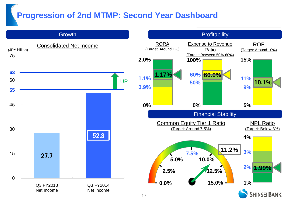### **Progression of 2nd MTMP: Second Year Dashboard**